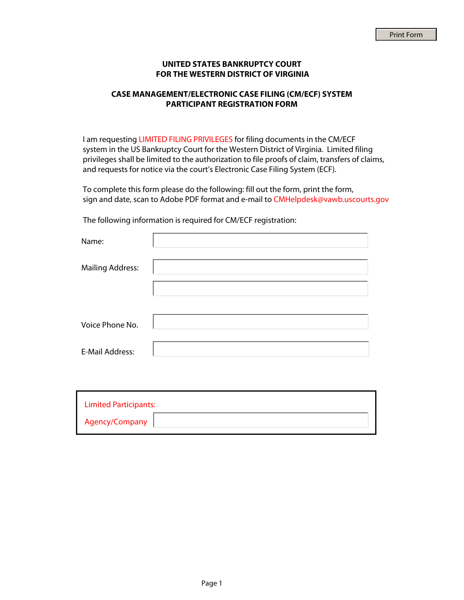## **UNITED STATES BANKRUPTCY COURT FOR THE WESTERN DISTRICT OF VIRGINIA**

## **CASE MANAGEMENT/ELECTRONIC CASE FILING (CM/ECF) SYSTEM PARTICIPANT REGISTRATION FORM**

I am requesting LIMITED FILING PRIVILEGES for filing documents in the CM/ECF system in the US Bankruptcy Court for the Western District of Virginia. Limited filing privileges shall be limited to the authorization to file proofs of claim, transfers of claims, and requests for notice via the court's Electronic Case Filing System (ECF).

To complete this form please do the following: fill out the form, print the form, sign and date, scan to Adobe PDF format and e-mail to CMHelpdesk@vawb.uscourts.gov

The following information is required for CM/ECF registration:

| Name:                   |  |
|-------------------------|--|
| <b>Mailing Address:</b> |  |
|                         |  |
|                         |  |
| Voice Phone No.         |  |
|                         |  |
| <b>E-Mail Address:</b>  |  |
|                         |  |

| <b>Limited Participants:</b> |  |
|------------------------------|--|
| Agency/Company               |  |